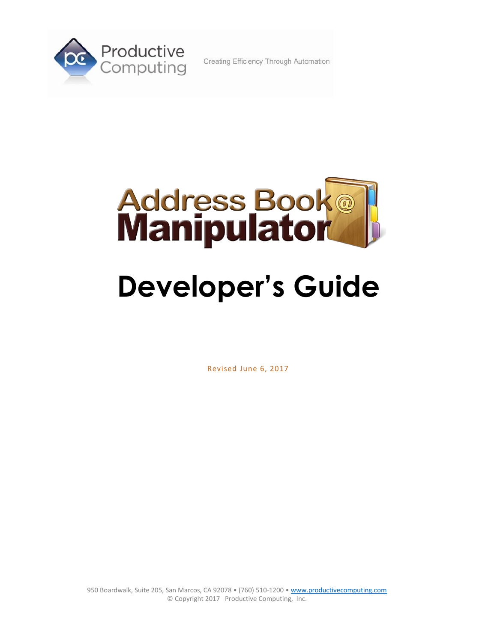

Creating Efficiency Through Automation



Revised June 6, 2017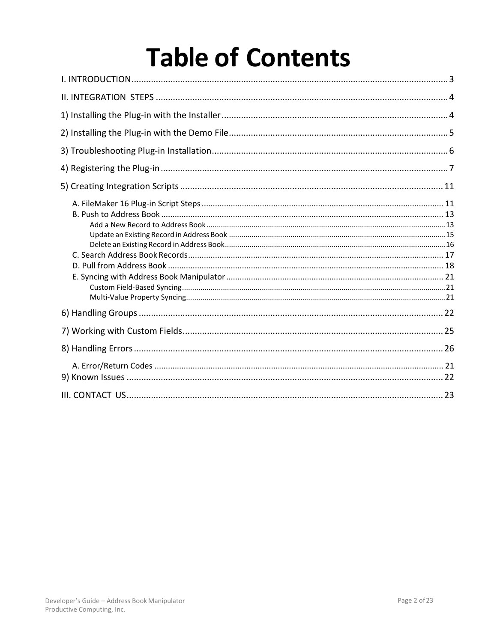# **Table of Contents**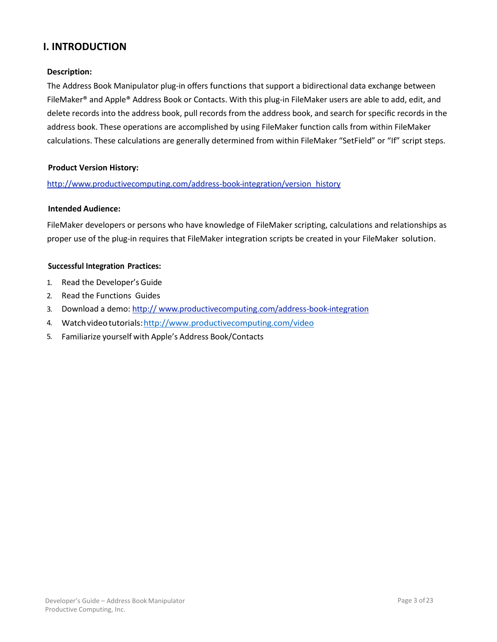# <span id="page-2-0"></span>**I. INTRODUCTION**

#### **Description:**

The Address Book Manipulator plug-in offers functions that support a bidirectional data exchange between FileMaker® and Apple® Address Book or Contacts. With this plug-in FileMaker users are able to add, edit, and delete records into the address book, pull records from the address book, and search for specific records in the address book. These operations are accomplished by using FileMaker function calls from within FileMaker calculations. These calculations are generally determined from within FileMaker "SetField" or "If" script steps.

#### **Product Version History:**

#### http:/[/www.productivecomputing.com/address-b](http://www.producjvecompujng.com/address-)ook-integration/version\_history

#### **Intended Audience:**

FileMaker developers or persons who have knowledge of FileMaker scripting, calculations and relationships as proper use of the plug-in requires that FileMaker integration scripts be created in your FileMaker solution.

#### **Successful Integration Practices:**

- 1. Read the Developer's Guide
- 2. Read the Functions Guides
- 3. Download a demo: http:// [www.productivecomputing.com/address-b](http://www.producjvecompujng.com/address-)ook-integration
- 4. Watchvideotutorials[:http://www.productivecomputing.com/video](http://www.productivecomputing.com/video)
- 5. Familiarize yourself with Apple's Address Book/Contacts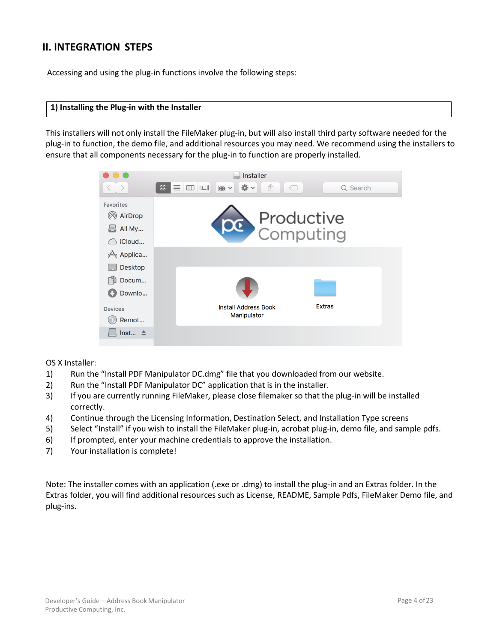# <span id="page-3-0"></span>**II. INTEGRATION STEPS**

Accessing and using the plug-in functions involve the following steps:

#### <span id="page-3-1"></span>**[1\) Installing the Plug-in](#page-3-1) with the Installer**

This installers will not only install the FileMaker plug-in, but will also install third party software needed for the plug-in to function, the demo file, and additional resources you may need. We recommend using the installers to ensure that all components necessary for the plug-in to function are properly installed.



OS X Installer:

- 1) Run the "Install PDF Manipulator DC.dmg" file that you downloaded from our website.
- 2) Run the "Install PDF Manipulator DC" application that is in the installer.
- 3) If you are currently running FileMaker, please close filemaker so that the plug-in will be installed correctly.
- 4) Continue through the Licensing Information, Destination Select, and Installation Type screens
- 5) Select "Install" if you wish to install the FileMaker plug-in, acrobat plug-in, demo file, and sample pdfs.
- 6) If prompted, enter your machine credentials to approve the installation.
- 7) Your installation is complete!

Note: The installer comes with an application (.exe or .dmg) to install the plug-in and an Extras folder. In the Extras folder, you will find additional resources such as License, README, Sample Pdfs, FileMaker Demo file, and plug-ins.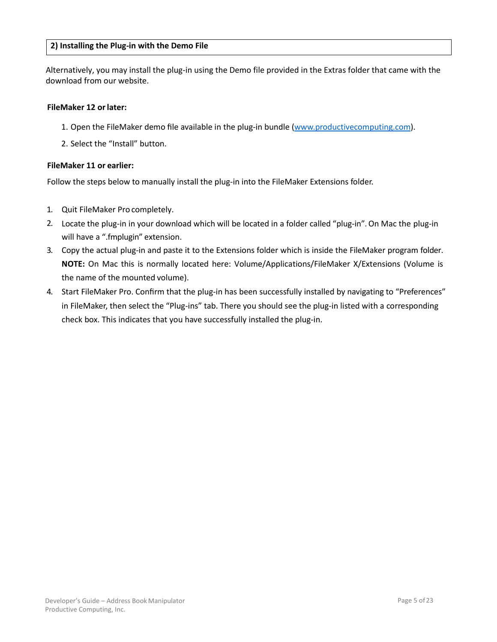#### <span id="page-4-0"></span>**[2\) Installing the Plug-in](#page-4-0) with the Demo File**

Alternatively, you may install the plug-in using the Demo file provided in the Extras folder that came with the download from our website.

#### **FileMaker 12 orlater:**

- 1. Open the FileMaker demo file available in the plug-in bundle [\(www.productivecomputing.com\)](http://www.productivecomputing.com/).
- 2. Select the "Install" button.

#### **FileMaker 11 or earlier:**

Follow the steps below to manually install the plug-in into the FileMaker Extensions folder.

- 1. Quit FileMaker Pro completely.
- 2. Locate the plug-in in your download which will be located in a folder called "plug-in". On Mac the plug-in will have a ".fmplugin" extension.
- 3. Copy the actual plug-in and paste it to the Extensions folder which is inside the FileMaker program folder. **NOTE:** On Mac this is normally located here: Volume/Applications/FileMaker X/Extensions (Volume is the name of the mounted volume).
- 4. Start FileMaker Pro. Confirm that the plug-in has been successfully installed by navigating to "Preferences" in FileMaker, then select the "Plug-ins" tab. There you should see the plug-in listed with a corresponding check box. This indicates that you have successfully installed the plug-in.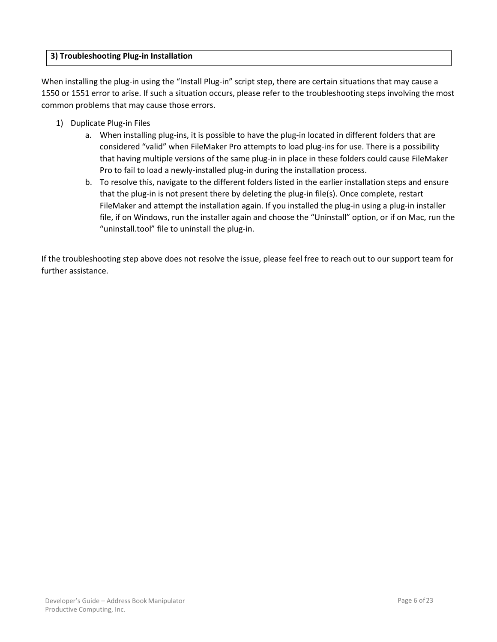# <span id="page-5-0"></span>**[3\) Troubleshooting Plug-in Installation](#page-5-0)**

When installing the plug-in using the "Install Plug-in" script step, there are certain situations that may cause a 1550 or 1551 error to arise. If such a situation occurs, please refer to the troubleshooting steps involving the most common problems that may cause those errors.

- 1) Duplicate Plug-in Files
	- a. When installing plug-ins, it is possible to have the plug-in located in different folders that are considered "valid" when FileMaker Pro attempts to load plug-ins for use. There is a possibility that having multiple versions of the same plug-in in place in these folders could cause FileMaker Pro to fail to load a newly-installed plug-in during the installation process.
	- b. To resolve this, navigate to the different folders listed in the earlier installation steps and ensure that the plug-in is not present there by deleting the plug-in file(s). Once complete, restart FileMaker and attempt the installation again. If you installed the plug-in using a plug-in installer file, if on Windows, run the installer again and choose the "Uninstall" option, or if on Mac, run the "uninstall.tool" file to uninstall the plug-in.

If the troubleshooting step above does not resolve the issue, please feel free to reach out to our support team for further assistance.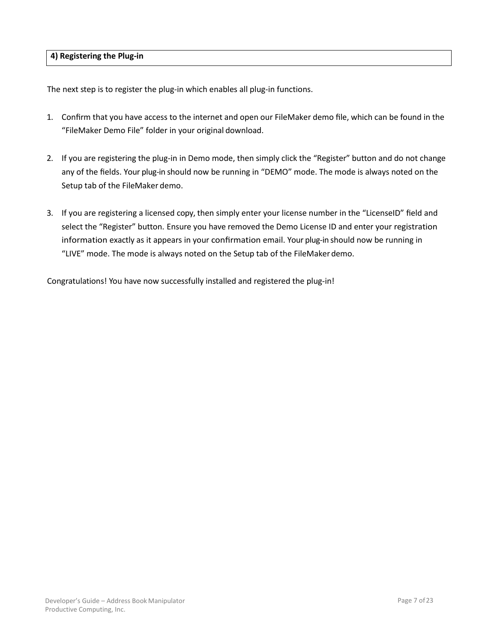<span id="page-6-0"></span>The next step is to register the plug-in which enables all plug-in functions.

- 1. Confirm that you have access to the internet and open our FileMaker demo file, which can be found in the "FileMaker Demo File" folder in your original download.
- 2. If you are registering the plug-in in Demo mode, then simply click the "Register" button and do not change any of the fields. Your plug-in should now be running in "DEMO" mode. The mode is always noted on the Setup tab of the FileMaker demo.
- 3. If you are registering a licensed copy, then simply enter your license number in the "LicenseID" field and select the "Register" button. Ensure you have removed the Demo License ID and enter your registration information exactly as it appears in your confirmation email. Your plug-in should now be running in "LIVE" mode. The mode is always noted on the Setup tab of the FileMakerdemo.

Congratulations! You have now successfully installed and registered the plug-in!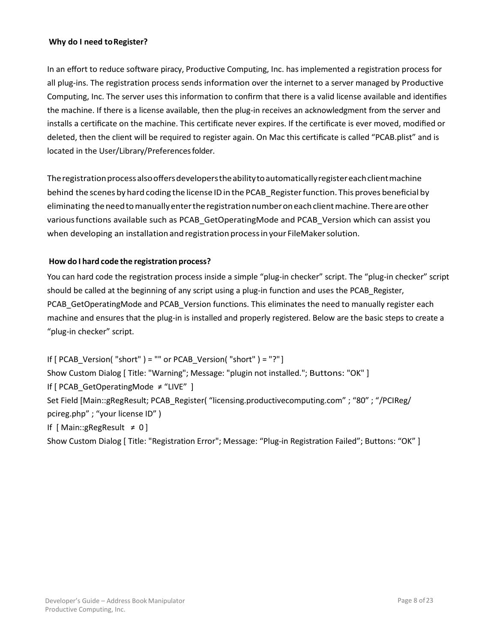## **Why do I need toRegister?**

In an effort to reduce software piracy, Productive Computing, Inc. has implemented a registration process for all plug-ins. The registration process sends information over the internet to a server managed by Productive Computing, Inc. The server uses this information to confirm that there is a valid license available and identifies the machine. If there is a license available, then the plug-in receives an acknowledgment from the server and installs a certificate on the machine. This certificate never expires. If the certificate is ever moved, modified or deleted, then the client will be required to register again. On Mac this certificate is called "PCAB.plist" and is located in the User/Library/Preferences folder.

The registration process also offers developers the ability to automatically register each client machine behind the scenes by hard coding the license ID in the PCAB Register function. This proves beneficial by eliminating theneedtomanuallyentertheregistrationnumberoneachclientmachine.Thereareother variousfunctions available such as PCAB\_GetOperatingMode and PCAB\_Version which can assist you when developing an installationand registration processinyour FileMakersolution.

## **How do I hard code the registration process?**

You can hard code the registration process inside a simple "plug-in checker" script. The "plug-in checker" script should be called at the beginning of any script using a plug-in function and uses the PCAB\_Register, PCAB\_GetOperatingMode and PCAB\_Version functions. This eliminates the need to manually register each machine and ensures that the plug-in is installed and properly registered. Below are the basic steps to create a "plug-in checker" script.

If  $[PCAB\;Version('short") = "" or PCAB\; Version('short") = "?"]$ Show Custom Dialog [ Title: "Warning"; Message: "plugin not installed."; Buttons: "OK" ] If [ PCAB\_GetOperatingMode ≠ "LIVE" ] Set Field [Main::gRegResult; PCAB\_Register( "licensing.productivecomputing.com" ; "80" ; "/PCIReg/ pcireg.php" ; "your license ID" ) If [ Main::gRegResult ≠ 0 ]

Show Custom Dialog [ Title: "Registration Error"; Message: "Plug-in Registration Failed"; Buttons: "OK" ]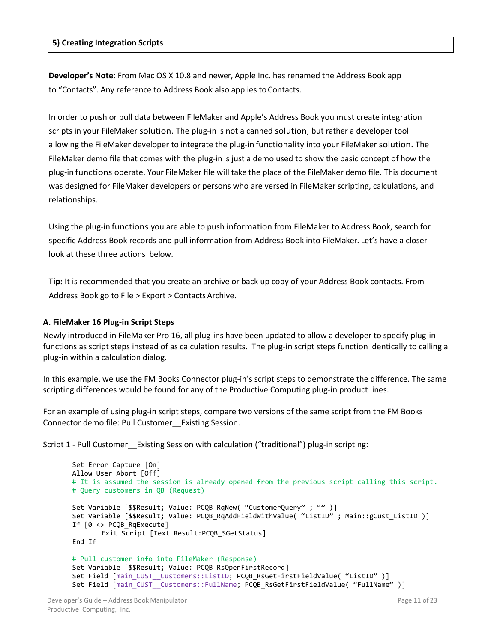#### <span id="page-8-0"></span>**[5\) Creating Integration Scripts](#page-8-0)**

**Developer's Note**: From Mac OS X 10.8 and newer, Apple Inc. has renamed the Address Book app to "Contacts". Any reference to Address Book also applies to Contacts.

In order to push or pull data between FileMaker and Apple's Address Book you must create integration scripts in your FileMaker solution. The plug-in is not a canned solution, but rather a developer tool allowing the FileMaker developer to integrate the plug-in functionality into your FileMaker solution. The FileMaker demo file that comes with the plug-in is just a demo used to show the basic concept of how the plug-in functions operate. Your FileMaker file will take the place of the FileMaker demo file. This document was designed for FileMaker developers or persons who are versed in FileMaker scripting, calculations, and relationships.

Using the plug-in functions you are able to push information from FileMaker to Address Book, search for specific Address Book records and pull information from Address Book into FileMaker. Let's have a closer look at these three actions below.

**Tip:** It is recommended that you create an archive or back up copy of your Address Book contacts. From Address Book go to File > Export > ContactsArchive.

#### <span id="page-8-1"></span>**A. FileMaker 16 Plug-in Script Steps**

Newly introduced in FileMaker Pro 16, all plug-ins have been updated to allow a developer to specify plug-in functions as script steps instead of as calculation results. The plug-in script steps function identically to calling a plug-in within a calculation dialog.

In this example, we use the FM Books Connector plug-in's script steps to demonstrate the difference. The same scripting differences would be found for any of the Productive Computing plug-in product lines.

For an example of using plug-in script steps, compare two versions of the same script from the FM Books Connector demo file: Pull Customer\_\_Existing Session.

Script 1 - Pull Customer Existing Session with calculation ("traditional") plug-in scripting:

```
Set Error Capture [On]
Allow User Abort [Off]
# It is assumed the session is already opened from the previous script calling this script.
# Query customers in QB (Request)
Set Variable [$$Result; Value: PCQB_RqNew( "CustomerQuery" ; "" )]
Set Variable [$$Result; Value: PCQB_RqAddFieldWithValue( "ListID" ; Main::gCust_ListID )]
If [0 <> PCQB_RqExecute]
       Exit Script [Text Result:PCQB_SGetStatus]
End If
# Pull customer info into FileMaker (Response)
Set Variable [$$Result; Value: PCQB RsOpenFirstRecord]
Set Field [main CUST Customers::ListID; PCQB RsGetFirstFieldValue( "ListID" )]
Set Field [main CUST Customers::FullName; PCQB RsGetFirstFieldValue( "FullName" )]
```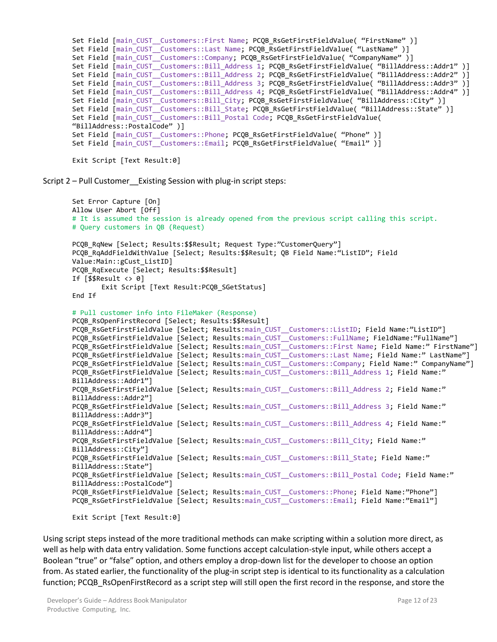```
Set Field [main CUST Customers::First Name; PCQB RsGetFirstFieldValue( "FirstName" )]
Set Field [main CUST Customers::Last Name; PCQB RsGetFirstFieldValue( "LastName" )]
Set Field [main_CUST__Customers::Company; PCQB_RsGetFirstFieldValue( "CompanyName" )]
Set Field [main_CUST__Customers::Bill_Address 1; PCQB_RsGetFirstFieldValue( "BillAddress::Addr1" )]
Set Field [main_CUST__Customers::Bill_Address 2; PCQB_RsGetFirstFieldValue( "BillAddress::Addr2" )]
Set Field [main_CUST__Customers::Bill_Address 3; PCQB_RsGetFirstFieldValue( "BillAddress::Addr3" )]
Set Field \overline{\text{main}} CUST \overline{\text{Cust}} Customers::Bill Address 4; PCQB RsGetFirstFieldValue( "BillAddress::Addr4" )]
Set Field [main CUST Customers::Bill City; PCOB RsGetFirstFieldValue( "BillAddress::City" )]
Set Field [main CUST Customers::Bill State; PCQB RsGetFirstFieldValue( "BillAddress::State" )]
Set Field [main CUST Customers::Bill Postal Code; PCOB RsGetFirstFieldValue(
"BillAddress::PostalCode" )]
Set Field [main CUST Customers::Phone; PCQB RsGetFirstFieldValue( "Phone" )]
Set Field [main CUST Customers::Email; PCQB RsGetFirstFieldValue( "Email" )]
```

```
Exit Script [Text Result:0]
```
Script 2 – Pull Customer Existing Session with plug-in script steps:

```
Set Error Capture [On]
Allow User Abort [Off]
# It is assumed the session is already opened from the previous script calling this script.
# Query customers in QB (Request)
PCQB_RqNew [Select; Results:$$Result; Request Type:"CustomerQuery"]
PCQB_RqAddFieldWithValue [Select; Results:$$Result; QB Field Name:"ListID"; Field 
Value:Main::gCust_ListID]
PCQB_RqExecute [Select; Results:$$Result]
If [$$Result <> 0]
       Exit Script [Text Result:PCQB SGetStatus]
End If
# Pull customer info into FileMaker (Response)
PCQB RsOpenFirstRecord [Select; Results: $$Result]
PCQB_RsGetFirstFieldValue [Select; Results:main_CUST__Customers::ListID; Field Name:"ListID"]
PCQB_RsGetFirstFieldValue [Select; Results:main_CUST__Customers::FullName; FieldName:"FullName"]
PCQB_RsGetFirstFieldValue [Select; Results:main_CUST__Customers::First Name; Field Name:" FirstName"]
PCQB_RsGetFirstFieldValue [Select; Results:main_CUST__Customers::Last Name; Field Name:" LastName"]
PCQB_RsGetFirstFieldValue [Select; Results:main_CUST__Customers::Company; Field Name:" CompanyName"]
PCQB_RsGetFirstFieldValue [Select; Results:main_CUST__Customers::Bill_Address 1; Field Name:"
BillAddress::Addr1"]
PCQB RsGetFirstFieldValue [Select; Results:main CUST Customers::Bill Address 2; Field Name:"
BillAddress::Addr2"]
PCQB RsGetFirstFieldValue [Select; Results:main CUST Customers::Bill Address 3; Field Name:"
BillAddress::Addr3"]
PCQB_RsGetFirstFieldValue [Select; Results:main_CUST__Customers::Bill_Address 4; Field Name:"
BillAddress::Addr4"]
PCQB RsGetFirstFieldValue [Select; Results:main CUST Customers::Bill City; Field Name:"
BillAddress::City"]
PCQB RsGetFirstFieldValue [Select; Results:main CUST Customers::Bill State; Field Name:"
BillAddress::State"]
PCQB RsGetFirstFieldValue [Select; Results:main CUST Customers::Bill Postal Code; Field Name:"
BillAddress::PostalCode"]
PCOB RsGetFirstFieldValue [Select; Results:main CUST Customers::Phone; Field Name:"Phone"]
PCOB_RsGetFirstFieldValue [Select; Results:main_CUST__Customers::Email; Field Name:"Email"]
```

```
Exit Script [Text Result:0]
```
Using script steps instead of the more traditional methods can make scripting within a solution more direct, as well as help with data entry validation. Some functions accept calculation-style input, while others accept a Boolean "true" or "false" option, and others employ a drop-down list for the developer to choose an option from. As stated earlier, the functionality of the plug-in script step is identical to its functionality as a calculation function; PCQB\_RsOpenFirstRecord as a script step will still open the first record in the response, and store the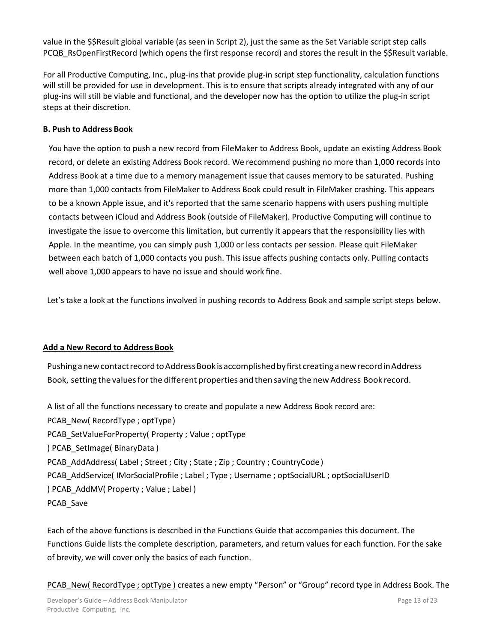value in the \$\$Result global variable (as seen in Script 2), just the same as the Set Variable script step calls PCQB\_RsOpenFirstRecord (which opens the first response record) and stores the result in the \$\$Result variable.

For all Productive Computing, Inc., plug-ins that provide plug-in script step functionality, calculation functions will still be provided for use in development. This is to ensure that scripts already integrated with any of our plug-ins will still be viable and functional, and the developer now has the option to utilize the plug-in script steps at their discretion.

# <span id="page-10-0"></span>**B. Push to Address Book**

You have the option to push a new record from FileMaker to Address Book, update an existing Address Book record, or delete an existing Address Book record. We recommend pushing no more than 1,000 records into Address Book at a time due to a memory management issue that causes memory to be saturated. Pushing more than 1,000 contacts from FileMaker to Address Book could result in FileMaker crashing. This appears to be a known Apple issue, and it's reported that the same scenario happens with users pushing multiple contacts between iCloud and Address Book (outside of FileMaker). Productive Computing will continue to investigate the issue to overcome this limitation, but currently it appears that the responsibility lies with Apple. In the meantime, you can simply push 1,000 or less contacts per session. Please quit FileMaker between each batch of 1,000 contacts you push. This issue affects pushing contacts only. Pulling contacts well above 1,000 appears to have no issue and should work fine.

Let's take a look at the functions involved in pushing records to Address Book and sample script steps below.

## <span id="page-10-1"></span>**Add a New Record to Address Book**

PushinganewcontactrecordtoAddressBookisaccomplishedbyfirstcreatinganewrecordinAddress Book, setting the valuesforthe different properties and then saving the new Address Book record.

A list of all the functions necessary to create and populate a new Address Book record are: PCAB\_New( RecordType ; optType) PCAB\_SetValueForProperty( Property ; Value ; optType ) PCAB\_SetImage( BinaryData ) PCAB\_AddAddress( Label ; Street ; City ; State ; Zip ; Country ; CountryCode) PCAB\_AddService( IMorSocialProfile ; Label ; Type ; Username ; optSocialURL ; optSocialUserID ) PCAB\_AddMV( Property ; Value ; Label ) PCAB\_Save

Each of the above functions is described in the Functions Guide that accompanies this document. The Functions Guide lists the complete description, parameters, and return values for each function. For the sake of brevity, we will cover only the basics of each function.

PCAB\_New( RecordType ; optType ) creates a new empty "Person" or "Group" record type in Address Book. The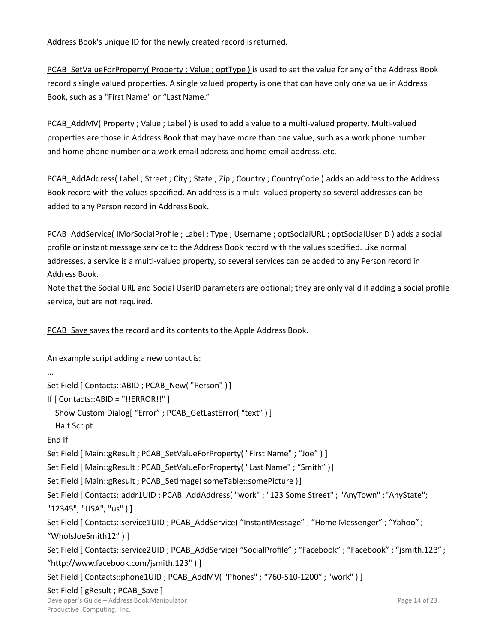Address Book's unique ID for the newly created record isreturned.

PCAB\_SetValueForProperty( Property ; Value ; optType ) is used to set the value for any of the Address Book record's single valued properties. A single valued property is one that can have only one value in Address Book, such as a "First Name" or "Last Name."

PCAB\_AddMV( Property ; Value ; Label ) is used to add a value to a multi-valued property. Multi-valued properties are those in Address Book that may have more than one value, such as a work phone number and home phone number or a work email address and home email address, etc.

PCAB\_AddAddress( Label ; Street ; City ; State ; Zip ; Country ; CountryCode ) adds an address to the Address Book record with the values specified. An address is a multi-valued property so several addresses can be added to any Person record in Address Book.

PCAB\_AddService( IMorSocialProfile ; Label ; Type ; Username ; optSocialURL ; optSocialUserID ) adds a social profile or instant message service to the Address Book record with the values specified. Like normal addresses, a service is a multi-valued property, so several services can be added to any Person record in Address Book.

Note that the Social URL and Social UserID parameters are optional; they are only valid if adding a social profile service, but are not required.

PCAB Save saves the record and its contents to the Apple Address Book.

An example script adding a new contact is:

Set Field [ Contacts::ABID ; PCAB New( "Person" ) ]

If [ Contacts::ABID = "!!ERROR!!" ]

Show Custom Dialog[ "Error" ; PCAB GetLastError( "text" ) ]

Halt Script

End If

...

Set Field [ Main::gResult ; PCAB\_SetValueForProperty( "First Name" ; "Joe" ) ]

Set Field [ Main::gResult ; PCAB SetValueForProperty( "Last Name" ; "Smith" )]

Set Field [ Main::gResult ; PCAB\_SetImage( someTable::somePicture )]

Set Field [ Contacts::addr1UID ; PCAB\_AddAddress( "work" ; "123 Some Street" ; "AnyTown" ;"AnyState"; "12345"; "USA"; "us" ) ]

Set Field [ Contacts::service1UID ; PCAB\_AddService( "InstantMessage" ; "Home Messenger" ; "Yahoo" ; "WhoIsJoeSmith12" ) ]

Set Field [ Contacts::service2UID ; PCAB\_AddService( "SocialProfile" ; "Facebook" ; "Facebook" ; "jsmith.123" ; "ht[tp://www.facebook.com/jsmith.123"](http://www.facebook.com/jsmith.123) ) ]

Set Field [ Contacts::phone1UID ; PCAB\_AddMV( "Phones" ; "760-510-1200" ; "work" ) ]

Set Field [ gResult ; PCAB Save ]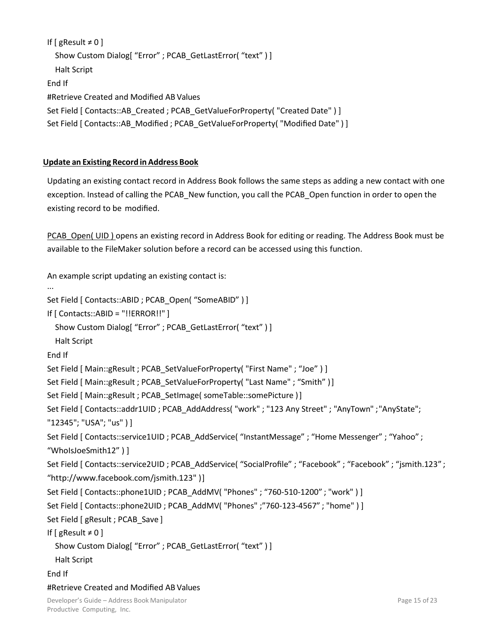```
If [ gResult \neq 0]
  Show Custom Dialog[ "Error" ; PCAB GetLastError( "text" ) ]
  Halt Script
End If
#Retrieve Created and Modified AB Values
Set Field [ Contacts::AB_Created ; PCAB_GetValueForProperty( "Created Date" ) ] 
Set Field [ Contacts::AB_Modified ; PCAB_GetValueForProperty( "Modified Date" ) ]
```
# <span id="page-12-0"></span>**Update an Existing Record in Address Book**

Updating an existing contact record in Address Book follows the same steps as adding a new contact with one exception. Instead of calling the PCAB\_New function, you call the PCAB\_Open function in order to open the existing record to be modified.

PCAB\_Open( UID ) opens an existing record in Address Book for editing or reading. The Address Book must be available to the FileMaker solution before a record can be accessed using this function.

Developer's Guide – Address Book Manipulator An example script updating an existing contact is: ... Set Field [ Contacts::ABID ; PCAB Open( "SomeABID" ) ] If [ Contacts::ABID = "!!ERROR!!" ] Show Custom Dialog[ "Error" ; PCAB GetLastError( "text" ) ] Halt Script End If Set Field [ Main::gResult ; PCAB\_SetValueForProperty( "First Name" ; "Joe" ) ] Set Field [ Main::gResult ; PCAB SetValueForProperty( "Last Name" ; "Smith" )] Set Field [ Main::gResult ; PCAB\_SetImage( someTable::somePicture )] Set Field [ Contacts::addr1UID ; PCAB\_AddAddress( "work" ; "123 Any Street" ; "AnyTown" ;"AnyState"; "12345"; "USA"; "us" ) ] Set Field [ Contacts::service1UID ; PCAB\_AddService( "InstantMessage" ; "Home Messenger" ; "Yahoo" ; "WhoIsJoeSmith12" ) ] Set Field [ Contacts::service2UID ; PCAB\_AddService( "SocialProfile" ; "Facebook" ; "Facebook" ; "jsmith.123" ; "htt[p://www.facebook.com/jsmith.123"](http://www.facebook.com/jsmith.123) )] Set Field [ Contacts::phone1UID ; PCAB\_AddMV( "Phones" ; "760-510-1200" ; "work" ) ] Set Field [ Contacts::phone2UID ; PCAB\_AddMV( "Phones" ;"760-123-4567" ; "home" ) ] Set Field [ gResult ; PCAB Save ] If  $[$  gResult  $\neq 0$ ] Show Custom Dialog[ "Error" ; PCAB\_GetLastError( "text" ) ] Halt Script End If #Retrieve Created and Modified AB Values

Productive Computing, Inc.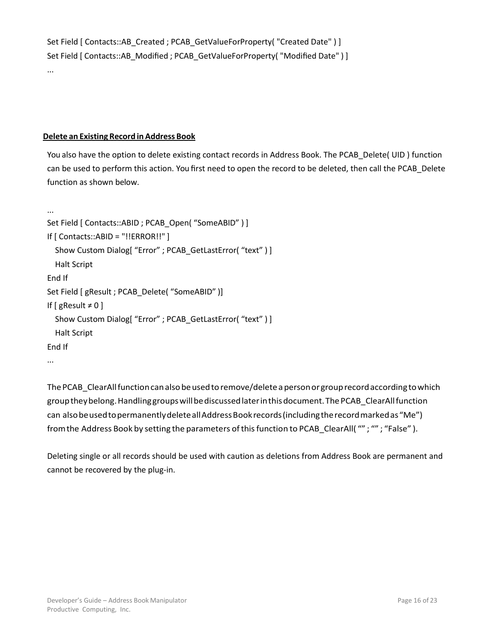```
Set Field [ Contacts::AB_Created ; PCAB_GetValueForProperty( "Created Date" ) ]
Set Field [ Contacts::AB Modified ; PCAB GetValueForProperty( "Modified Date" ) ]
```

```
Delete an Existing Record in Address Book
```
...

You also have the option to delete existing contact records in Address Book. The PCAB\_Delete( UID ) function can be used to perform this action. You first need to open the record to be deleted, then call the PCAB\_Delete function as shown below.

```
...
Set Field [ Contacts::ABID ; PCAB Open( "SomeABID" ) ]
If [ Contacts::ABID = "!!ERROR!!" ]
  Show Custom Dialog[ "Error" ; PCAB_GetLastError( "text" ) ] 
  Halt Script
End If
Set Field [ gResult ; PCAB_Delete( "SomeABID" )] 
If [ gResult \neq 0]
  Show Custom Dialog[ "Error" ; PCAB_GetLastError( "text" ) ] 
  Halt Script
End If
...
```
The PCAB\_ClearAll function can also be used to remove/delete a person or group record according to which grouptheybelong.Handlinggroupswillbediscussedlaterinthisdocument.ThePCAB\_ClearAllfunction can also be used to permanently delete all Address Book records (including the record marked as "Me") from the Address Book by setting the parameters of this function to PCAB\_ClearAll(""; ""; "False").

Deleting single or all records should be used with caution as deletions from Address Book are permanent and cannot be recovered by the plug-in.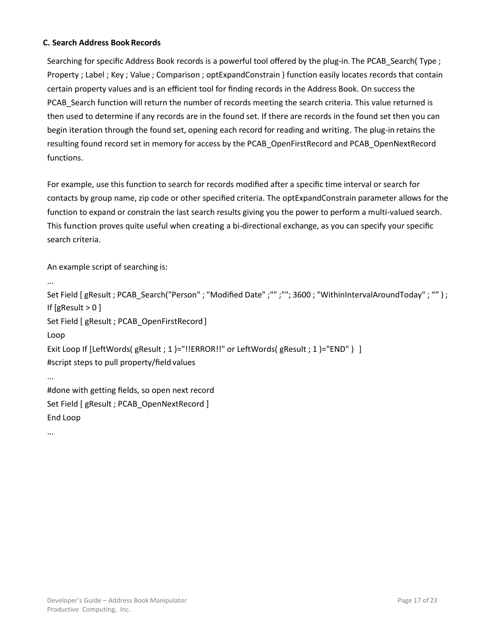# <span id="page-14-0"></span>**C. Search Address Book Records**

Searching for specific Address Book records is a powerful tool offered by the plug-in. The PCAB Search( Type ; Property ; Label ; Key ; Value ; Comparison ; optExpandConstrain ) function easily locates records that contain certain property values and is an efficient tool for finding records in the Address Book. On success the PCAB Search function will return the number of records meeting the search criteria. This value returned is then used to determine if any records are in the found set. If there are records in the found set then you can begin iteration through the found set, opening each record for reading and writing. The plug-in retains the resulting found record set in memory for access by the PCAB\_OpenFirstRecord and PCAB\_OpenNextRecord functions.

For example, use this function to search for records modified after a specific time interval or search for contacts by group name, zip code or other specified criteria. The optExpandConstrain parameter allows for the function to expand or constrain the last search results giving you the power to perform a multi-valued search. This function proves quite useful when creating a bi-directional exchange, as you can specify your specific search criteria.

An example script of searching is:

```
...
Set Field [gResult ; PCAB_Search("Person" ; "Modified Date" ;"" ; ""; 3600 ; "WithinIntervalAroundToday" ; "") ;
If [gResult > 0 ]
Set Field [ gResult ; PCAB OpenFirstRecord ]
Loop
Exit Loop If [LeftWords( gResult ; 1 )="!!ERROR!!" or LeftWords( gResult ; 1 )="END" ) ]
#script steps to pull property/field values
...
#done with getting fields, so open next record 
Set Field [ gResult ; PCAB OpenNextRecord ]
End Loop
```
...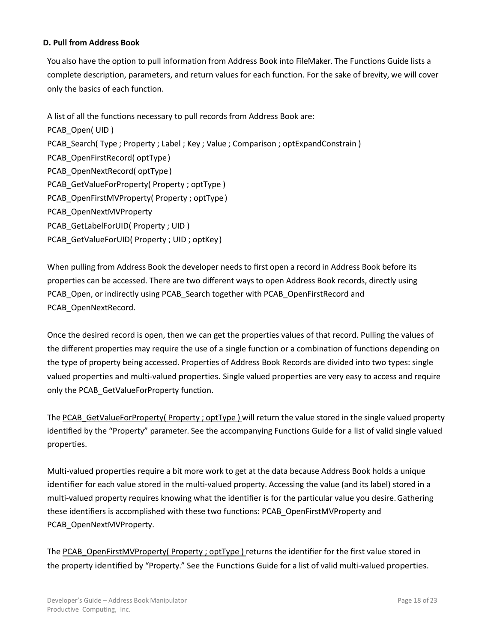### <span id="page-15-0"></span>**D. Pull from Address Book**

You also have the option to pull information from Address Book into FileMaker. The Functions Guide lists a complete description, parameters, and return values for each function. For the sake of brevity, we will cover only the basics of each function.

A list of all the functions necessary to pull records from Address Book are: PCAB\_Open( UID ) PCAB Search( Type ; Property ; Label ; Key ; Value ; Comparison ; optExpandConstrain ) PCAB\_OpenFirstRecord( optType) PCAB\_OpenNextRecord( optType) PCAB\_GetValueForProperty( Property ; optType ) PCAB\_OpenFirstMVProperty( Property ; optType) PCAB\_OpenNextMVProperty PCAB\_GetLabelForUID( Property ; UID ) PCAB\_GetValueForUID( Property ; UID ; optKey)

When pulling from Address Book the developer needs to first open a record in Address Book before its properties can be accessed. There are two different ways to open Address Book records, directly using PCAB\_Open, or indirectly using PCAB\_Search together with PCAB\_OpenFirstRecord and PCAB\_OpenNextRecord.

Once the desired record is open, then we can get the properties values of that record. Pulling the values of the different properties may require the use of a single function or a combination of functions depending on the type of property being accessed. Properties of Address Book Records are divided into two types: single valued properties and multi-valued properties. Single valued properties are very easy to access and require only the PCAB GetValueForProperty function.

The PCAB GetValueForProperty( Property ; optType ) will return the value stored in the single valued property identified by the "Property" parameter. See the accompanying Functions Guide for a list of valid single valued properties.

Multi-valued properties require a bit more work to get at the data because Address Book holds a unique identifier for each value stored in the multi-valued property. Accessing the value (and its label) stored in a multi-valued property requires knowing what the identifier is for the particular value you desire. Gathering these identifiers is accomplished with these two functions: PCAB\_OpenFirstMVProperty and PCAB\_OpenNextMVProperty.

The PCAB\_OpenFirstMVProperty( Property ; optType ) returns the identifier for the first value stored in the property identified by "Property." See the Functions Guide for a list of valid multi-valued properties.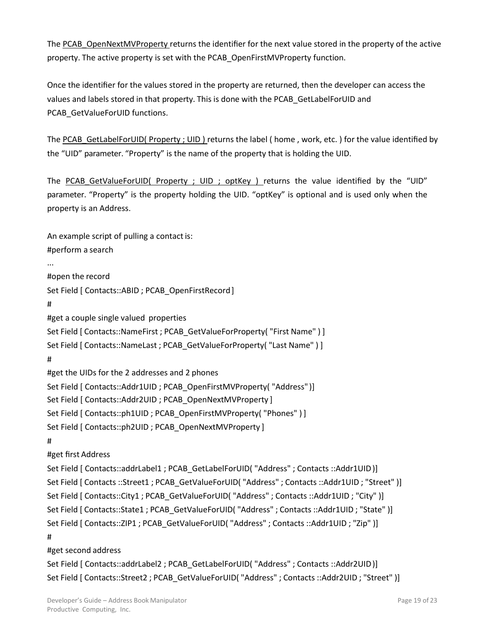The PCAB\_OpenNextMVProperty returns the identifier for the next value stored in the property of the active property. The active property is set with the PCAB\_OpenFirstMVProperty function.

Once the identifier for the values stored in the property are returned, then the developer can access the values and labels stored in that property. This is done with the PCAB\_GetLabelForUID and PCAB\_GetValueForUID functions.

The PCAB\_GetLabelForUID( Property ; UID ) returns the label ( home , work, etc. ) for the value identified by the "UID" parameter. "Property" is the name of the property that is holding the UID.

The PCAB GetValueForUID( Property ; UID ; optKey ) returns the value identified by the "UID" parameter. "Property" is the property holding the UID. "optKey" is optional and is used only when the property is an Address.

An example script of pulling a contact is: #perform a search ... #open the record Set Field [ Contacts::ABID ; PCAB\_OpenFirstRecord] # #get a couple single valued properties Set Field [ Contacts::NameFirst ; PCAB GetValueForProperty( "First Name" ) ] Set Field [ Contacts::NameLast ; PCAB GetValueForProperty( "Last Name" ) ] # #get the UIDs for the 2 addresses and 2 phones Set Field [ Contacts::Addr1UID ; PCAB\_OpenFirstMVProperty( "Address" )] Set Field [ Contacts::Addr2UID ; PCAB\_OpenNextMVProperty ] Set Field [ Contacts::ph1UID ; PCAB\_OpenFirstMVProperty( "Phones" ) ] Set Field [ Contacts::ph2UID ; PCAB\_OpenNextMVProperty ] # #get first Address Set Field [ Contacts::addrLabel1 ; PCAB\_GetLabelForUID( "Address" ; Contacts ::Addr1UID)] Set Field [ Contacts ::Street1 ; PCAB\_GetValueForUID( "Address" ; Contacts ::Addr1UID ; "Street" )] Set Field [ Contacts::City1 ; PCAB GetValueForUID( "Address" ; Contacts ::Addr1UID ; "City" )] Set Field [ Contacts::State1 ; PCAB\_GetValueForUID( "Address" ; Contacts ::Addr1UID ; "State" )] Set Field [ Contacts::ZIP1 ; PCAB GetValueForUID( "Address" ; Contacts ::Addr1UID ; "Zip" )] # #get second address Set Field [ Contacts::addrLabel2 ; PCAB\_GetLabelForUID( "Address" ; Contacts ::Addr2UID)]

Set Field [ Contacts::Street2 ; PCAB\_GetValueForUID( "Address" ; Contacts ::Addr2UID ; "Street" )]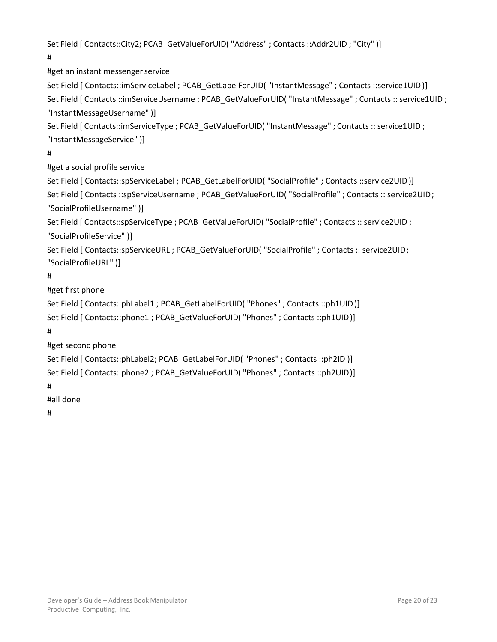```
Set Field [ Contacts::City2; PCAB_GetValueForUID( "Address" ; Contacts ::Addr2UID ; "City" )]
```
#

#get an instant messenger service

Set Field [ Contacts::imServiceLabel ; PCAB\_GetLabelForUID( "InstantMessage" ; Contacts ::service1UID)] Set Field [ Contacts ::imServiceUsername ; PCAB\_GetValueForUID( "InstantMessage" ; Contacts :: service1UID ; "InstantMessageUsername" )]

Set Field [ Contacts::imServiceType ; PCAB\_GetValueForUID( "InstantMessage" ; Contacts :: service1UID ; "InstantMessageService" )]

# #

#get a social profile service

Set Field [ Contacts::spServiceLabel ; PCAB\_GetLabelForUID( "SocialProfile" ; Contacts ::service2UID)] Set Field [ Contacts ::spServiceUsername ; PCAB\_GetValueForUID( "SocialProfile" ; Contacts :: service2UID; "SocialProfileUsername" )]

```
Set Field [ Contacts::spServiceType ; PCAB_GetValueForUID( "SocialProfile" ; Contacts :: service2UID ; 
"SocialProfileService" )]
```

```
Set Field [ Contacts::spServiceURL ; PCAB_GetValueForUID( "SocialProfile" ; Contacts :: service2UID; 
"SocialProfileURL" )]
```
# #

#get first phone

```
Set Field [ Contacts::phLabel1 ; PCAB_GetLabelForUID( "Phones" ; Contacts ::ph1UID)] 
Set Field [ Contacts::phone1 ; PCAB GetValueForUID( "Phones" ; Contacts ::ph1UID)]
```
#

#get second phone

```
Set Field [ Contacts::phLabel2; PCAB_GetLabelForUID( "Phones" ; Contacts ::ph2ID )] 
Set Field [ Contacts::phone2 ; PCAB_GetValueForUID( "Phones" ; Contacts ::ph2UID)]
```
#

#all done

#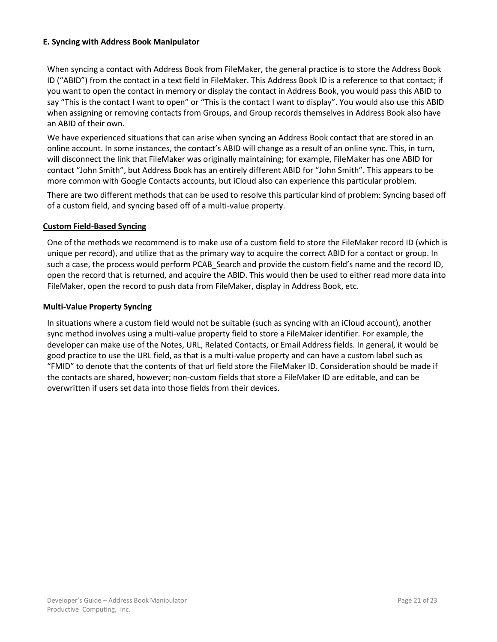## <span id="page-18-0"></span>**E. Syncing with Address Book Manipulator**

When syncing a contact with Address Book from FileMaker, the general practice is to store the Address Book ID ("ABID") from the contact in a text field in FileMaker. This Address Book ID is a reference to that contact; if you want to open the contact in memory or display the contact in Address Book, you would pass this ABID to say "This is the contact I want to open" or "This is the contact I want to display". You would also use this ABID when assigning or removing contacts from Groups, and Group records themselves in Address Book also have an ABID of their own.

We have experienced situations that can arise when syncing an Address Book contact that are stored in an online account. In some instances, the contact's ABID will change as a result of an online sync. This, in turn, will disconnect the link that FileMaker was originally maintaining; for example, FileMaker has one ABID for contact "John Smith", but Address Book has an entirely different ABID for "John Smith". This appears to be more common with Google Contacts accounts, but iCloud also can experience this particular problem.

There are two different methods that can be used to resolve this particular kind of problem: Syncing based off of a custom field, and syncing based off of a multi-value property.

#### <span id="page-18-1"></span>**Custom Field-Based Syncing**

One of the methods we recommend is to make use of a custom field to store the FileMaker record ID (which is unique per record), and utilize that as the primary way to acquire the correct ABID for a contact or group. In such a case, the process would perform PCAB Search and provide the custom field's name and the record ID, open the record that is returned, and acquire the ABID. This would then be used to either read more data into FileMaker, open the record to push data from FileMaker, display in Address Book, etc.

# <span id="page-18-2"></span>**Multi-Value Property Syncing**

In situations where a custom field would not be suitable (such as syncing with an iCloud account), another sync method involves using a multi-value property field to store a FileMaker identifier. For example, the developer can make use of the Notes, URL, Related Contacts, or Email Address fields. In general, it would be good practice to use the URL field, as that is a multi-value property and can have a custom label such as "FMID" to denote that the contents of that url field store the FileMaker ID. Consideration should be made if the contacts are shared, however; non-custom fields that store a FileMaker ID are editable, and can be overwritten if users set data into those fields from their devices.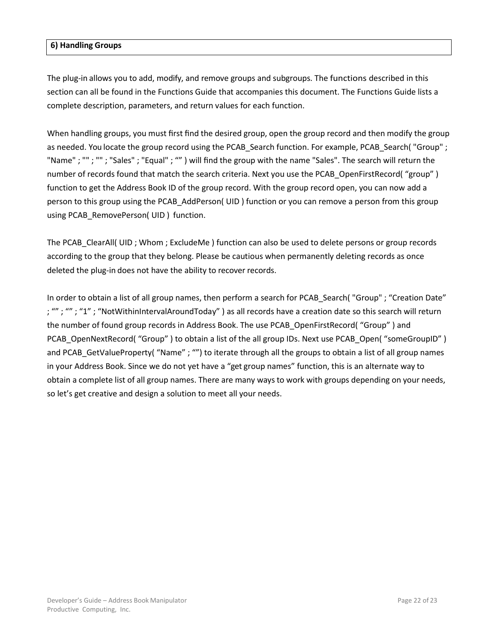# <span id="page-19-0"></span>**[6\) Handling](#page-19-0) Groups**

The plug-in allows you to add, modify, and remove groups and subgroups. The functions described in this section can all be found in the Functions Guide that accompanies this document. The Functions Guide lists a complete description, parameters, and return values for each function.

When handling groups, you must first find the desired group, open the group record and then modify the group as needed. You locate the group record using the PCAB Search function. For example, PCAB Search("Group" ; "Name" ; "" ; "" ; "Sales" ; "Equal" ; "" ) will find the group with the name "Sales". The search will return the number of records found that match the search criteria. Next you use the PCAB\_OpenFirstRecord( "group" ) function to get the Address Book ID of the group record. With the group record open, you can now add a person to this group using the PCAB\_AddPerson( UID ) function or you can remove a person from this group using PCAB RemovePerson( UID ) function.

The PCAB ClearAll( UID ; Whom ; ExcludeMe ) function can also be used to delete persons or group records according to the group that they belong. Please be cautious when permanently deleting records as once deleted the plug-in does not have the ability to recover records.

In order to obtain a list of all group names, then perform a search for PCAB\_Search( "Group" ; "Creation Date" ; ""; ""; "1"; "NotWithinIntervalAroundToday") as all records have a creation date so this search will return the number of found group records in Address Book. The use PCAB\_OpenFirstRecord( "Group" ) and PCAB\_OpenNextRecord( "Group" ) to obtain a list of the all group IDs. Next use PCAB\_Open( "someGroupID" ) and PCAB GetValueProperty( "Name" ; "") to iterate through all the groups to obtain a list of all group names in your Address Book. Since we do not yet have a "get group names" function, this is an alternate way to obtain a complete list of all group names. There are many ways to work with groups depending on your needs, so let's get creative and design a solution to meet all your needs.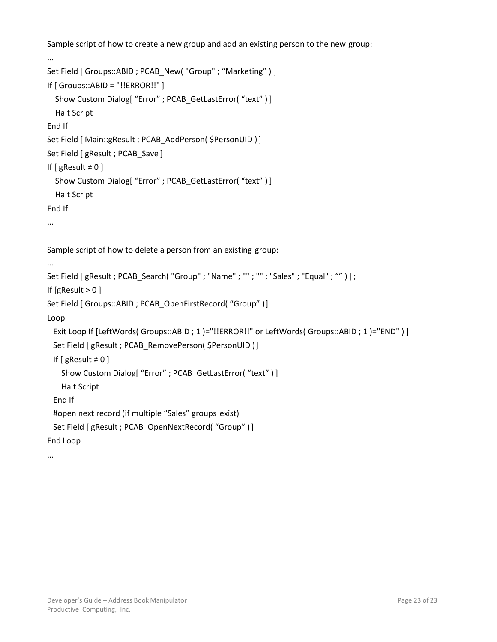Sample script of how to create a new group and add an existing person to the new group:

```
...
Set Field [ Groups:: ABID ; PCAB New( "Group" ; "Marketing" ) ]
If [ Groups::ABID = "!!ERROR!!" ]
  Show Custom Dialog[ "Error" ; PCAB_GetLastError( "text" ) ] 
  Halt Script
End If
Set Field [ Main::gResult ; PCAB_AddPerson( $PersonUID ) ]
Set Field [ gResult ; PCAB_Save ]
If [ gResult \neq 0]
  Show Custom Dialog[ "Error" ; PCAB_GetLastError( "text" ) ]
  Halt Script
End If
...
Sample script of how to delete a person from an existing group:
...
Set Field [gResult ; PCAB_Search("Group" ; "Name" ; "" ; "" ; "Sales" ; "Equal" ; "")];
If [gResult > 0 ]
Set Field [ Groups::ABID ; PCAB_OpenFirstRecord( "Group" )] 
Loop
 Exit Loop If [LeftWords( Groups::ABID ; 1 )="!!ERROR!!" or LeftWords( Groups::ABID ; 1 )="END" ) ] 
 Set Field [ gResult ; PCAB_RemovePerson( $PersonUID )]
 If [ gResult ≠ 0 ]Show Custom Dialog[ "Error" ; PCAB_GetLastError( "text" ) ] 
   Halt Script
 End If
 #open next record (if multiple "Sales" groups exist)
 Set Field [ gResult ; PCAB OpenNextRecord( "Group" )]
End Loop
...
```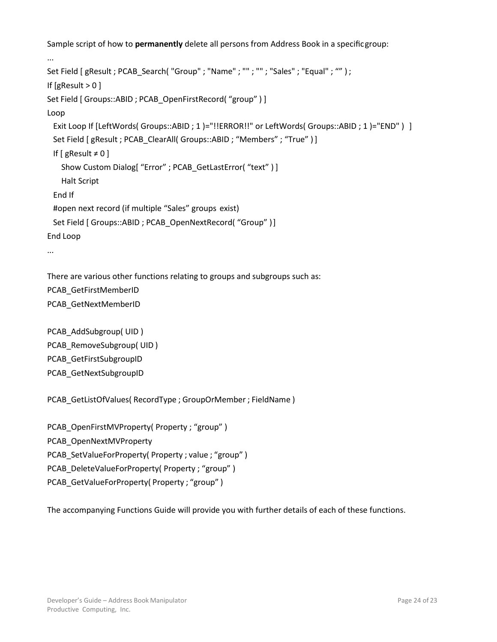Sample script of how to **permanently** delete all persons from Address Book in a specificgroup:

```
...
Set Field [gResult ; PCAB_Search( "Group" ; "Name" ; "" ; "" ; "Sales" ; "Equal" ; "" ) ;
If [gResult > 0]
Set Field [ Groups::ABID ; PCAB OpenFirstRecord( "group" ) ]
Loop
 Exit Loop If [LeftWords( Groups::ABID ; 1 )="!!ERROR!!" or LeftWords( Groups::ABID ; 1 )="END" ) ]
 Set Field [ gResult ; PCAB ClearAll( Groups::ABID ; "Members" ; "True" ) ]
 If [ gResult \neq 0]
    Show Custom Dialog[ "Error" ; PCAB_GetLastError( "text" ) ] 
    Halt Script
 End If
 #open next record (if multiple "Sales" groups exist)
 Set Field [ Groups::ABID ; PCAB_OpenNextRecord( "Group" )]
End Loop
...
There are various other functions relating to groups and subgroups such as: 
PCAB_GetFirstMemberID
PCAB_GetNextMemberID
```

```
PCAB_AddSubgroup( UID )
PCAB_RemoveSubgroup( UID )
PCAB_GetFirstSubgroupID 
PCAB_GetNextSubgroupID
```

```
PCAB_GetListOfValues( RecordType ; GroupOrMember ; FieldName )
```

```
PCAB_OpenFirstMVProperty( Property ; "group")
PCAB_OpenNextMVProperty 
PCAB_SetValueForProperty( Property ; value ; "group" ) 
PCAB_DeleteValueForProperty( Property ; "group" )
PCAB_GetValueForProperty( Property ; "group" )
```
The accompanying Functions Guide will provide you with further details of each of these functions.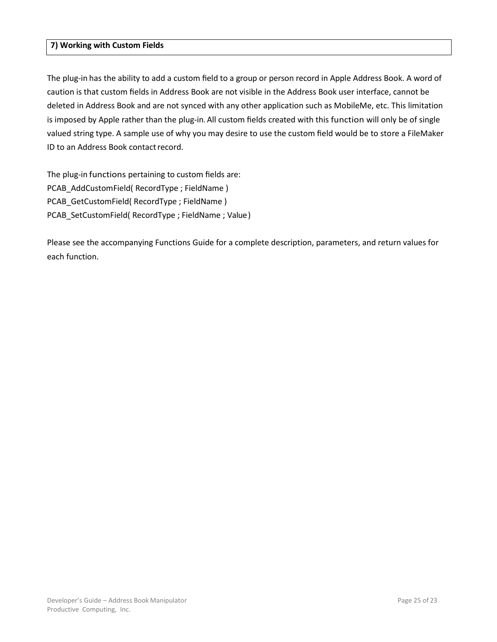### <span id="page-22-0"></span>**[7\) Working with Custom Fields](#page-22-0)**

The plug-in has the ability to add a custom field to a group or person record in Apple Address Book. A word of caution is that custom fields in Address Book are not visible in the Address Book user interface, cannot be deleted in Address Book and are not synced with any other application such as MobileMe, etc. This limitation is imposed by Apple rather than the plug-in. All custom fields created with this function will only be of single valued string type. A sample use of why you may desire to use the custom field would be to store a FileMaker ID to an Address Book contact record.

The plug-in functions pertaining to custom fields are: PCAB\_AddCustomField( RecordType ; FieldName ) PCAB\_GetCustomField( RecordType ; FieldName ) PCAB\_SetCustomField( RecordType ; FieldName ; Value)

Please see the accompanying Functions Guide for a complete description, parameters, and return values for each function.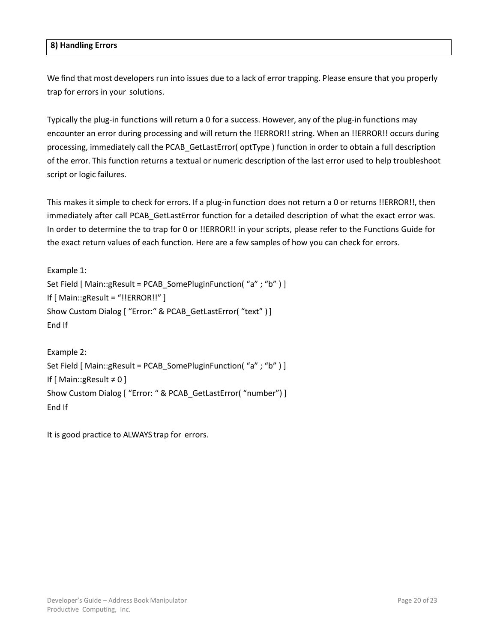#### <span id="page-23-0"></span>**[8\) Handling Errors](#page-23-0)**

We find that most developers run into issues due to a lack of error trapping. Please ensure that you properly trap for errors in your solutions.

Typically the plug-in functions will return a 0 for a success. However, any of the plug-in functions may encounter an error during processing and will return the !!ERROR!! string. When an !!ERROR!! occurs during processing, immediately call the PCAB\_GetLastError( optType ) function in order to obtain a full description of the error. This function returns a textual or numeric description of the last error used to help troubleshoot script or logic failures.

This makes it simple to check for errors. If a plug-in function does not return a 0 or returns !!ERROR!!, then immediately after call PCAB GetLastError function for a detailed description of what the exact error was. In order to determine the to trap for 0 or !!ERROR!! in your scripts, please refer to the Functions Guide for the exact return values of each function. Here are a few samples of how you can check for errors.

```
Example 1:
Set Field [ Main::gResult = PCAB SomePluginFunction( "a" ; "b" ) ]
If [ Main::gResult = "!!ERROR!!" ]Show Custom Dialog [ "Error:" & PCAB_GetLastError( "text" )] 
End If
```

```
Example 2:
Set Field [ Main::gResult = PCAB SomePluginFunction( "a" ; "b" ) ]
If [ Main::gResult ≠ 0 ]
Show Custom Dialog [ "Error: " & PCAB_GetLastError( "number") ] 
End If
```
It is good practice to ALWAYS trap for errors.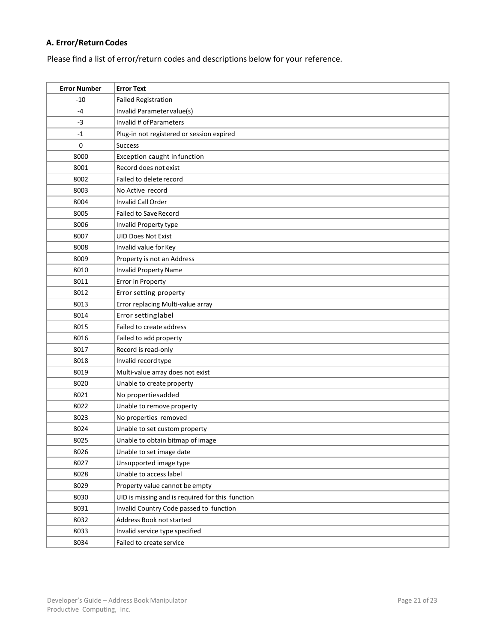# <span id="page-24-0"></span>**A. Error/ReturnCodes**

Please find a list of error/return codes and descriptions below for your reference.

| <b>Error Number</b> | <b>Error Text</b>                                |
|---------------------|--------------------------------------------------|
| $-10$               | <b>Failed Registration</b>                       |
| -4                  | Invalid Parameter value(s)                       |
| $-3$                | Invalid # of Parameters                          |
| $-1$                | Plug-in not registered or session expired        |
| $\mathbf 0$         | <b>Success</b>                                   |
| 8000                | Exception caught in function                     |
| 8001                | Record does not exist                            |
| 8002                | Failed to delete record                          |
| 8003                | No Active record                                 |
| 8004                | Invalid Call Order                               |
| 8005                | <b>Failed to Save Record</b>                     |
| 8006                | Invalid Property type                            |
| 8007                | <b>UID Does Not Exist</b>                        |
| 8008                | Invalid value for Key                            |
| 8009                | Property is not an Address                       |
| 8010                | <b>Invalid Property Name</b>                     |
| 8011                | Error in Property                                |
| 8012                | Error setting property                           |
| 8013                | Error replacing Multi-value array                |
| 8014                | Error setting label                              |
| 8015                | Failed to create address                         |
| 8016                | Failed to add property                           |
| 8017                | Record is read-only                              |
| 8018                | Invalid record type                              |
| 8019                | Multi-value array does not exist                 |
| 8020                | Unable to create property                        |
| 8021                | No propertiesadded                               |
| 8022                | Unable to remove property                        |
| 8023                | No properties removed                            |
| 8024                | Unable to set custom property                    |
| 8025                | Unable to obtain bitmap of image                 |
| 8026                | Unable to set image date                         |
| 8027                | Unsupported image type                           |
| 8028                | Unable to access label                           |
| 8029                | Property value cannot be empty                   |
| 8030                | UID is missing and is required for this function |
| 8031                | Invalid Country Code passed to function          |
| 8032                | Address Book not started                         |
| 8033                | Invalid service type specified                   |
| 8034                | Failed to create service                         |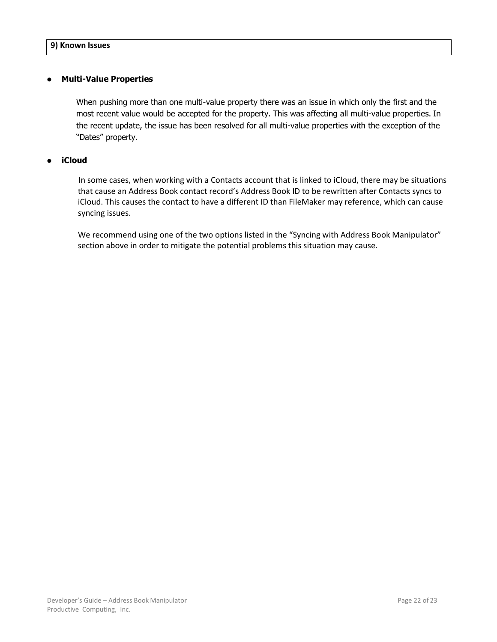# <span id="page-25-0"></span>**• Multi-Value Properties**

When pushing more than one multi-value property there was an issue in which only the first and the most recent value would be accepted for the property. This was affecting all multi-value properties. In the recent update, the issue has been resolved for all multi-value properties with the exception of the "Dates" property.

# **• iCloud**

 In some cases, when working with a Contacts account that is linked to iCloud, there may be situations that cause an Address Book contact record's Address Book ID to be rewritten after Contacts syncs to iCloud. This causes the contact to have a different ID than FileMaker may reference, which can cause syncing issues.

We recommend using one of the two options listed in the "Syncing with Address Book Manipulator" section above in order to mitigate the potential problems this situation may cause.